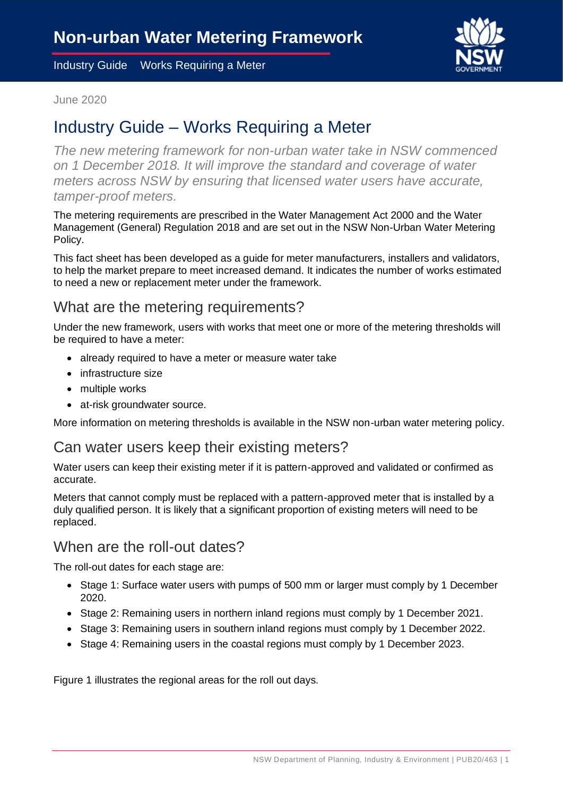Industry Guide Works Requiring a Meter –



June 2020

# Industry Guide – Works Requiring a Meter

 *on 1 December 2018. It will improve the standard and coverage of water*  meters across NSW by ensuring that licensed water users have accurate, *The new metering framework for non-urban water take in NSW commenced tamper-proof meters.* 

 The metering requirements are prescribed in the Water Management Act 2000 and the Water Management (General) Regulation 2018 and are set out in the NSW Non-Urban Water Metering Policy.

 This fact sheet has been developed as a guide for meter manufacturers, installers and validators, to help the market prepare to meet increased demand. It indicates the number of works estimated to need a new or replacement meter under the framework.

## What are the metering requirements?

 Under the new framework, users with works that meet one or more of the metering thresholds will be required to have a meter:

- already required to have a meter or measure water take
- infrastructure size
- multiple works
- at-risk groundwater source.

More information on metering thresholds is available in the NSW non-urban water metering policy.

### Can water users keep their existing meters?

 Water users can keep their existing meter if it is pattern-approved and validated or confirmed as accurate.

accurate.<br>Meters that cannot comply must be replaced with a pattern-approved meter that is installed by a duly qualified person. It is likely that a significant proportion of existing meters will need to be replaced.

### When are the roll-out dates?

The roll-out dates for each stage are:

- • Stage 1: Surface water users with pumps of 500 mm or larger must comply by 1 December 2020.
- Stage 2: Remaining users in northern inland regions must comply by 1 December 2021.
- Stage 3: Remaining users in southern inland regions must comply by 1 December 2022.
- Stage 4: Remaining users in the coastal regions must comply by 1 December 2023.

Figure 1 illustrates the regional areas for the roll out days.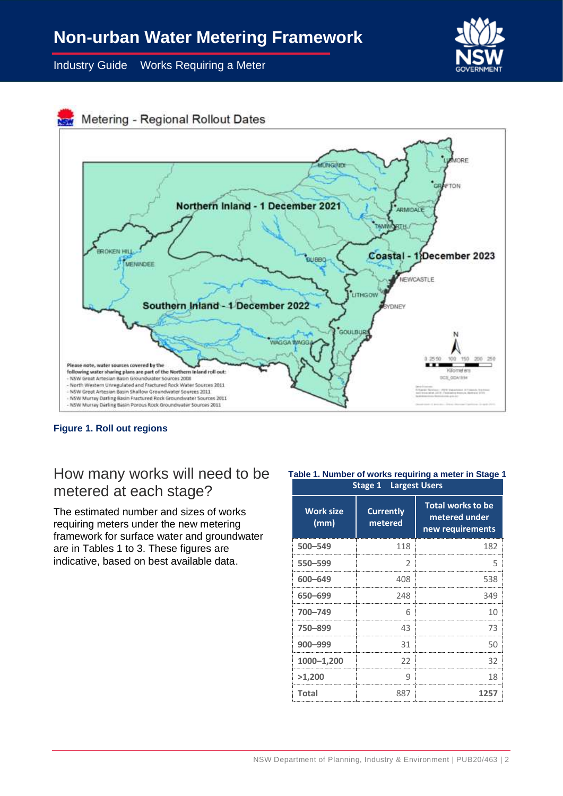Industry Guide Works Requiring a Meter –





**Figure 1. Roll out regions** 

# How many works will need to be **Table**  metered at each stage?

 The estimated number and sizes of works requiring meters under the new metering framework for surface water and groundwater are in Tables 1 to 3. These figures are indicative, based on best available data.

#### **1. Number of works requiring a meter in Stage 1**

| <b>Stage 1 Largest Users</b> |                             |                                                               |  |  |  |  |  |
|------------------------------|-----------------------------|---------------------------------------------------------------|--|--|--|--|--|
| <b>Work size</b><br>(mm)     | <b>Currently</b><br>metered | <b>Total works to be</b><br>metered under<br>new requirements |  |  |  |  |  |
| $500 - 549$                  | 118                         | 182                                                           |  |  |  |  |  |
| 550–599                      | 2                           | 5                                                             |  |  |  |  |  |
| 600-649                      | 408                         | 538                                                           |  |  |  |  |  |
| 650-699                      | 248                         | 349                                                           |  |  |  |  |  |
| 700-749                      | հ                           | 10                                                            |  |  |  |  |  |
| 750-899                      | 43                          | 73                                                            |  |  |  |  |  |
| 900–999                      | 31                          | 50                                                            |  |  |  |  |  |
| 1000-1,200                   | 22                          | 32                                                            |  |  |  |  |  |
| >1,200                       | g                           | 18                                                            |  |  |  |  |  |
| Total                        | 887                         | 1257                                                          |  |  |  |  |  |